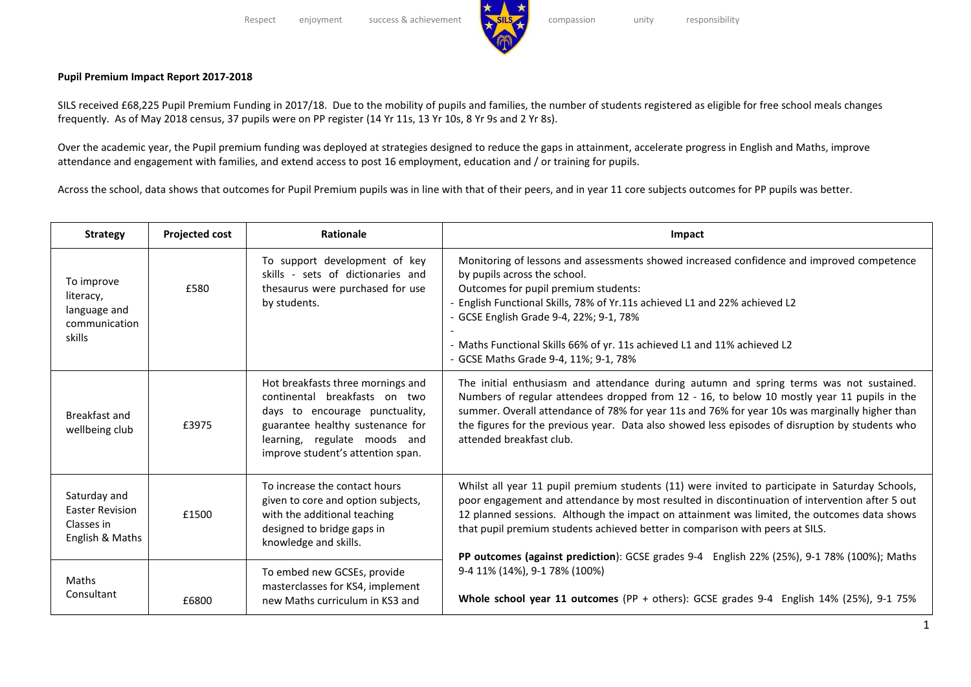## **Pupil Premium Impact Report 2017-2018**

SILS received £68,225 Pupil Premium Funding in 2017/18. Due to the mobility of pupils and families, the number of students registered as eligible for free school meals changes frequently. As of May 2018 census, 37 pupils were on PP register (14 Yr 11s, 13 Yr 10s, 8 Yr 9s and 2 Yr 8s).

Over the academic year, the Pupil premium funding was deployed at strategies designed to reduce the gaps in attainment, accelerate progress in English and Maths, improve attendance and engagement with families, and extend access to post 16 employment, education and / or training for pupils.

Across the school, data shows that outcomes for Pupil Premium pupils was in line with that of their peers, and in year 11 core subjects outcomes for PP pupils was better.

| <b>Strategy</b>                                                    | <b>Projected cost</b> | Rationale                                                                                                                                                                                                     | Impact                                                                                                                                                                                                                                                                                                                                                                                                                                                                          |
|--------------------------------------------------------------------|-----------------------|---------------------------------------------------------------------------------------------------------------------------------------------------------------------------------------------------------------|---------------------------------------------------------------------------------------------------------------------------------------------------------------------------------------------------------------------------------------------------------------------------------------------------------------------------------------------------------------------------------------------------------------------------------------------------------------------------------|
| To improve<br>literacy,<br>language and<br>communication<br>skills | £580                  | To support development of key<br>skills - sets of dictionaries and<br>thesaurus were purchased for use<br>by students.                                                                                        | Monitoring of lessons and assessments showed increased confidence and improved competence<br>by pupils across the school.<br>Outcomes for pupil premium students:<br>- English Functional Skills, 78% of Yr.11s achieved L1 and 22% achieved L2<br>- GCSE English Grade 9-4, 22%; 9-1, 78%<br>- Maths Functional Skills 66% of yr. 11s achieved L1 and 11% achieved L2<br>- GCSE Maths Grade 9-4, 11%; 9-1, 78%                                                                 |
| Breakfast and<br>wellbeing club                                    | £3975                 | Hot breakfasts three mornings and<br>continental breakfasts on two<br>days to encourage punctuality,<br>guarantee healthy sustenance for<br>learning, regulate moods and<br>improve student's attention span. | The initial enthusiasm and attendance during autumn and spring terms was not sustained.<br>Numbers of regular attendees dropped from 12 - 16, to below 10 mostly year 11 pupils in the<br>summer. Overall attendance of 78% for year 11s and 76% for year 10s was marginally higher than<br>the figures for the previous year. Data also showed less episodes of disruption by students who<br>attended breakfast club.                                                         |
| Saturday and<br>Easter Revision<br>Classes in<br>English & Maths   | £1500                 | To increase the contact hours<br>given to core and option subjects,<br>with the additional teaching<br>designed to bridge gaps in<br>knowledge and skills.                                                    | Whilst all year 11 pupil premium students (11) were invited to participate in Saturday Schools,<br>poor engagement and attendance by most resulted in discontinuation of intervention after 5 out<br>12 planned sessions. Although the impact on attainment was limited, the outcomes data shows<br>that pupil premium students achieved better in comparison with peers at SILS.<br>PP outcomes (against prediction): GCSE grades 9-4 English 22% (25%), 9-1 78% (100%); Maths |
| <b>Maths</b><br>Consultant                                         | £6800                 | To embed new GCSEs, provide<br>masterclasses for KS4, implement<br>new Maths curriculum in KS3 and                                                                                                            | 9-4 11% (14%), 9-1 78% (100%)<br>Whole school year 11 outcomes (PP + others): GCSE grades 9-4 English 14% (25%), 9-1 75%                                                                                                                                                                                                                                                                                                                                                        |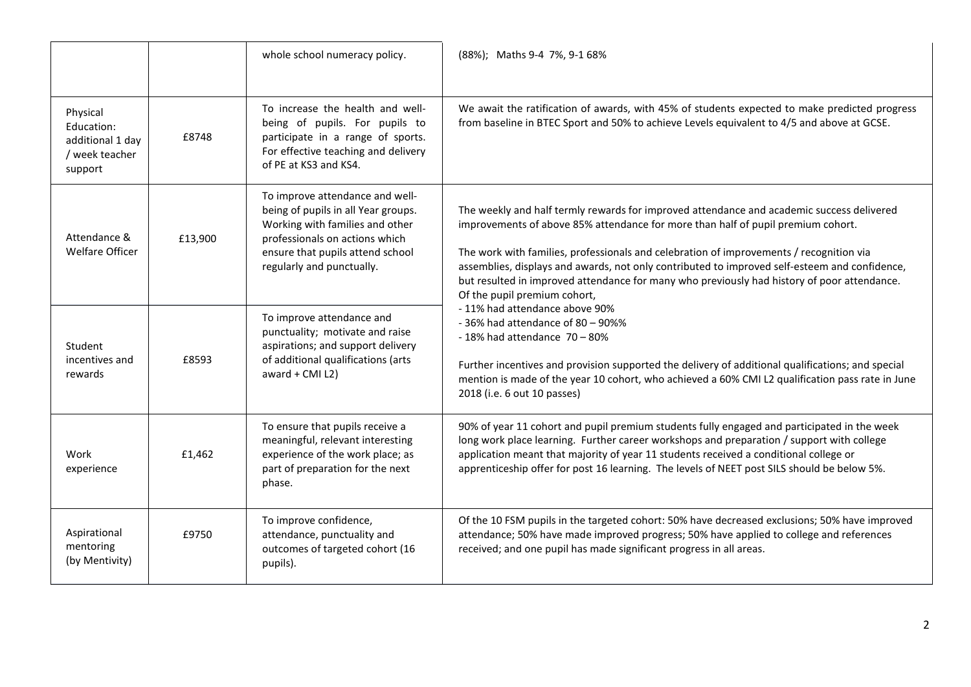|                                                                         |         | whole school numeracy policy.                                                                                                                                                                                | (88%); Maths 9-4 7%, 9-1 68%                                                                                                                                                                                                                                                                                                                                                                                                                                                                                                                                                                                                                                                                                                                                                                                                                                  |
|-------------------------------------------------------------------------|---------|--------------------------------------------------------------------------------------------------------------------------------------------------------------------------------------------------------------|---------------------------------------------------------------------------------------------------------------------------------------------------------------------------------------------------------------------------------------------------------------------------------------------------------------------------------------------------------------------------------------------------------------------------------------------------------------------------------------------------------------------------------------------------------------------------------------------------------------------------------------------------------------------------------------------------------------------------------------------------------------------------------------------------------------------------------------------------------------|
| Physical<br>Education:<br>additional 1 day<br>/ week teacher<br>support | £8748   | To increase the health and well-<br>being of pupils. For pupils to<br>participate in a range of sports.<br>For effective teaching and delivery<br>of PE at KS3 and KS4.                                      | We await the ratification of awards, with 45% of students expected to make predicted progress<br>from baseline in BTEC Sport and 50% to achieve Levels equivalent to 4/5 and above at GCSE.                                                                                                                                                                                                                                                                                                                                                                                                                                                                                                                                                                                                                                                                   |
| Attendance &<br><b>Welfare Officer</b>                                  | £13,900 | To improve attendance and well-<br>being of pupils in all Year groups.<br>Working with families and other<br>professionals on actions which<br>ensure that pupils attend school<br>regularly and punctually. | The weekly and half termly rewards for improved attendance and academic success delivered<br>improvements of above 85% attendance for more than half of pupil premium cohort.<br>The work with families, professionals and celebration of improvements / recognition via<br>assemblies, displays and awards, not only contributed to improved self-esteem and confidence,<br>but resulted in improved attendance for many who previously had history of poor attendance.<br>Of the pupil premium cohort,<br>- 11% had attendance above 90%<br>$-36\%$ had attendance of 80 - 90%%<br>$-18\%$ had attendance $70-80\%$<br>Further incentives and provision supported the delivery of additional qualifications; and special<br>mention is made of the year 10 cohort, who achieved a 60% CMI L2 qualification pass rate in June<br>2018 (i.e. 6 out 10 passes) |
| Student<br>incentives and<br>rewards                                    | £8593   | To improve attendance and<br>punctuality; motivate and raise<br>aspirations; and support delivery<br>of additional qualifications (arts<br>award + $CMI L2$ )                                                |                                                                                                                                                                                                                                                                                                                                                                                                                                                                                                                                                                                                                                                                                                                                                                                                                                                               |
| Work<br>experience                                                      | £1,462  | To ensure that pupils receive a<br>meaningful, relevant interesting<br>experience of the work place; as<br>part of preparation for the next<br>phase.                                                        | 90% of year 11 cohort and pupil premium students fully engaged and participated in the week<br>long work place learning. Further career workshops and preparation / support with college<br>application meant that majority of year 11 students received a conditional college or<br>apprenticeship offer for post 16 learning. The levels of NEET post SILS should be below 5%.                                                                                                                                                                                                                                                                                                                                                                                                                                                                              |
| Aspirational<br>mentoring<br>(by Mentivity)                             | £9750   | To improve confidence,<br>attendance, punctuality and<br>outcomes of targeted cohort (16<br>pupils).                                                                                                         | Of the 10 FSM pupils in the targeted cohort: 50% have decreased exclusions; 50% have improved<br>attendance; 50% have made improved progress; 50% have applied to college and references<br>received; and one pupil has made significant progress in all areas.                                                                                                                                                                                                                                                                                                                                                                                                                                                                                                                                                                                               |